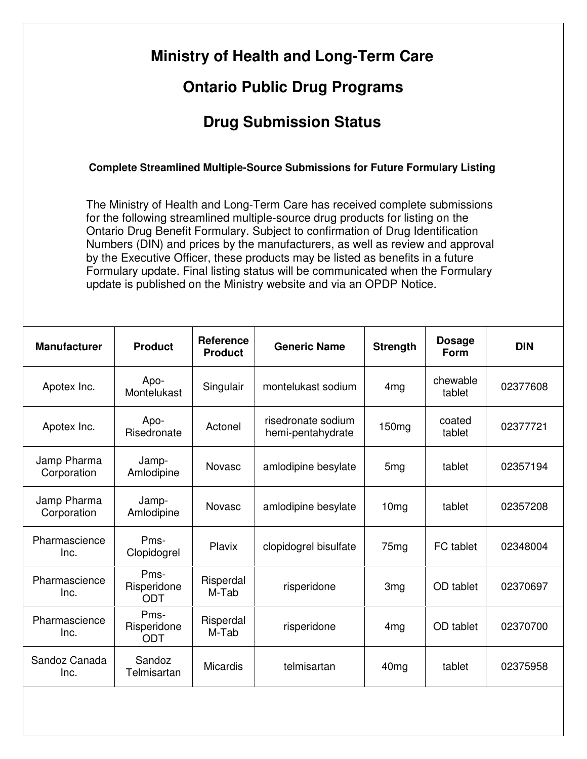| <b>Ontario Public Drug Programs</b>                                                                                                                                                                                                                                                                                                                                                                                                                                                                                                                                         |                                   |                                    |                                         |                   |                              |            |  |  |  |  |  |
|-----------------------------------------------------------------------------------------------------------------------------------------------------------------------------------------------------------------------------------------------------------------------------------------------------------------------------------------------------------------------------------------------------------------------------------------------------------------------------------------------------------------------------------------------------------------------------|-----------------------------------|------------------------------------|-----------------------------------------|-------------------|------------------------------|------------|--|--|--|--|--|
| <b>Drug Submission Status</b>                                                                                                                                                                                                                                                                                                                                                                                                                                                                                                                                               |                                   |                                    |                                         |                   |                              |            |  |  |  |  |  |
| <b>Complete Streamlined Multiple-Source Submissions for Future Formulary Listing</b>                                                                                                                                                                                                                                                                                                                                                                                                                                                                                        |                                   |                                    |                                         |                   |                              |            |  |  |  |  |  |
| The Ministry of Health and Long-Term Care has received complete submissions<br>for the following streamlined multiple-source drug products for listing on the<br>Ontario Drug Benefit Formulary. Subject to confirmation of Drug Identification<br>Numbers (DIN) and prices by the manufacturers, as well as review and approval<br>by the Executive Officer, these products may be listed as benefits in a future<br>Formulary update. Final listing status will be communicated when the Formulary<br>update is published on the Ministry website and via an OPDP Notice. |                                   |                                    |                                         |                   |                              |            |  |  |  |  |  |
| <b>Manufacturer</b>                                                                                                                                                                                                                                                                                                                                                                                                                                                                                                                                                         | <b>Product</b>                    | <b>Reference</b><br><b>Product</b> | <b>Generic Name</b>                     | <b>Strength</b>   | <b>Dosage</b><br><b>Form</b> | <b>DIN</b> |  |  |  |  |  |
| Apotex Inc.                                                                                                                                                                                                                                                                                                                                                                                                                                                                                                                                                                 | Apo-<br>Montelukast               | Singulair                          | montelukast sodium                      | 4mg               | chewable<br>tablet           | 02377608   |  |  |  |  |  |
| Apotex Inc.                                                                                                                                                                                                                                                                                                                                                                                                                                                                                                                                                                 | Apo-<br>Risedronate               | Actonel                            | risedronate sodium<br>hemi-pentahydrate | 150 <sub>mg</sub> | coated<br>tablet             | 02377721   |  |  |  |  |  |
| Jamp Pharma<br>Corporation                                                                                                                                                                                                                                                                                                                                                                                                                                                                                                                                                  | Jamp-<br>Amlodipine               | Novasc                             | amlodipine besylate                     | 5 <sub>mg</sub>   | tablet                       | 02357194   |  |  |  |  |  |
| Jamp Pharma<br>Corporation                                                                                                                                                                                                                                                                                                                                                                                                                                                                                                                                                  | Jamp-<br>Amlodipine               | Novasc                             | amlodipine besylate                     | 10 <sub>mg</sub>  | tablet                       | 02357208   |  |  |  |  |  |
| Pharmascience<br>Inc.                                                                                                                                                                                                                                                                                                                                                                                                                                                                                                                                                       | Pms-<br>Clopidogrel               | Plavix                             | clopidogrel bisulfate                   | 75 <sub>mg</sub>  | FC tablet                    | 02348004   |  |  |  |  |  |
| Pharmascience<br>Inc.                                                                                                                                                                                                                                                                                                                                                                                                                                                                                                                                                       | Pms-<br>Risperidone<br><b>ODT</b> | Risperdal<br>M-Tab                 | risperidone                             | 3 <sub>mg</sub>   | OD tablet                    | 02370697   |  |  |  |  |  |
| Pharmascience<br>Inc.                                                                                                                                                                                                                                                                                                                                                                                                                                                                                                                                                       | Pms-<br>Risperidone<br><b>ODT</b> | Risperdal<br>M-Tab                 | risperidone                             | 4 <sub>mg</sub>   | OD tablet                    | 02370700   |  |  |  |  |  |
|                                                                                                                                                                                                                                                                                                                                                                                                                                                                                                                                                                             |                                   |                                    |                                         |                   |                              |            |  |  |  |  |  |